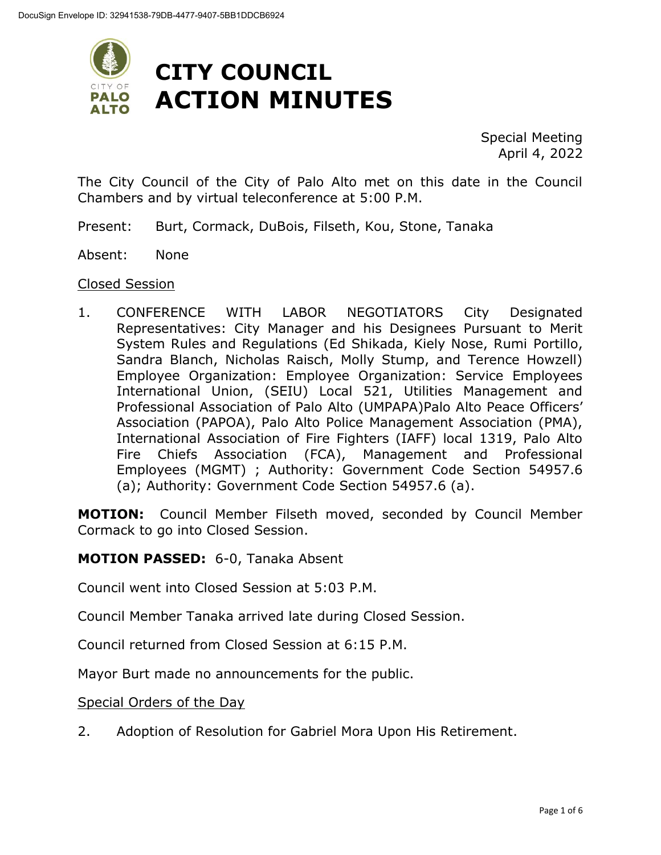

Special Meeting April 4, 2022

The City Council of the City of Palo Alto met on this date in the Council Chambers and by virtual teleconference at 5:00 P.M.

- Present: Burt, Cormack, DuBois, Filseth, Kou, Stone, Tanaka
- Absent: None

#### Closed Session

1. CONFERENCE WITH LABOR NEGOTIATORS City Designated Representatives: City Manager and his Designees Pursuant to Merit System Rules and Regulations (Ed Shikada, Kiely Nose, Rumi Portillo, Sandra Blanch, Nicholas Raisch, Molly Stump, and Terence Howzell) Employee Organization: Employee Organization: Service Employees International Union, (SEIU) Local 521, Utilities Management and Professional Association of Palo Alto (UMPAPA)Palo Alto Peace Officers' Association (PAPOA), Palo Alto Police Management Association (PMA), International Association of Fire Fighters (IAFF) local 1319, Palo Alto Fire Chiefs Association (FCA), Management and Professional Employees (MGMT) ; Authority: Government Code Section 54957.6 (a); Authority: Government Code Section 54957.6 (a).

**MOTION:** Council Member Filseth moved, seconded by Council Member Cormack to go into Closed Session.

#### **MOTION PASSED:** 6-0, Tanaka Absent

Council went into Closed Session at 5:03 P.M.

Council Member Tanaka arrived late during Closed Session.

Council returned from Closed Session at 6:15 P.M.

Mayor Burt made no announcements for the public.

Special Orders of the Day

2. Adoption of Resolution for Gabriel Mora Upon His Retirement.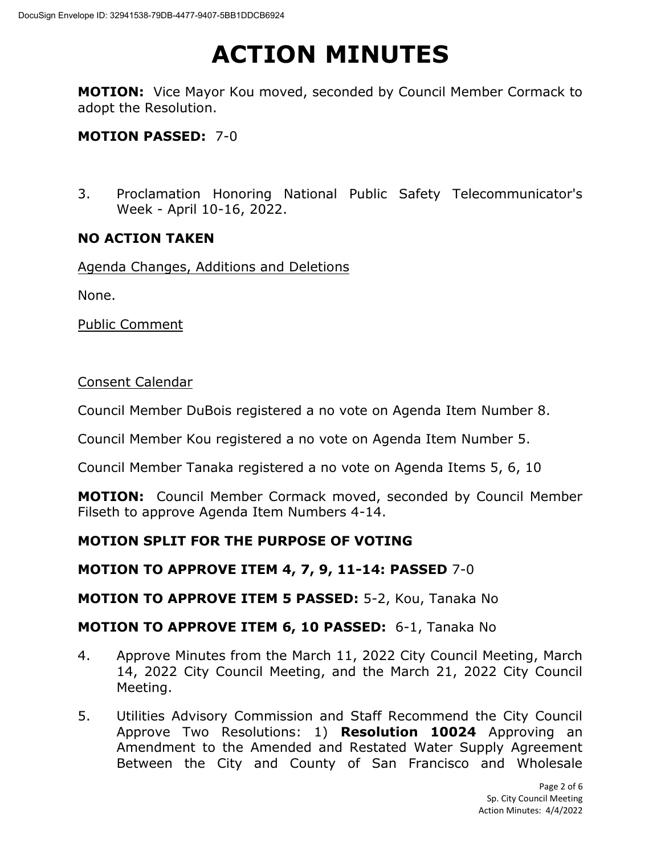**MOTION:** Vice Mayor Kou moved, seconded by Council Member Cormack to adopt the Resolution.

## **MOTION PASSED:** 7-0

3. Proclamation Honoring National Public Safety Telecommunicator's Week - April 10-16, 2022.

### **NO ACTION TAKEN**

Agenda Changes, Additions and Deletions

None.

Public Comment

#### Consent Calendar

Council Member DuBois registered a no vote on Agenda Item Number 8.

Council Member Kou registered a no vote on Agenda Item Number 5.

Council Member Tanaka registered a no vote on Agenda Items 5, 6, 10

**MOTION:** Council Member Cormack moved, seconded by Council Member Filseth to approve Agenda Item Numbers 4-14.

## **MOTION SPLIT FOR THE PURPOSE OF VOTING**

### **MOTION TO APPROVE ITEM 4, 7, 9, 11-14: PASSED** 7-0

**MOTION TO APPROVE ITEM 5 PASSED:** 5-2, Kou, Tanaka No

## **MOTION TO APPROVE ITEM 6, 10 PASSED:** 6-1, Tanaka No

- 4. Approve Minutes from the March 11, 2022 City Council Meeting, March 14, 2022 City Council Meeting, and the March 21, 2022 City Council Meeting.
- 5. Utilities Advisory Commission and Staff Recommend the City Council Approve Two Resolutions: 1) **Resolution 10024** Approving an Amendment to the Amended and Restated Water Supply Agreement Between the City and County of San Francisco and Wholesale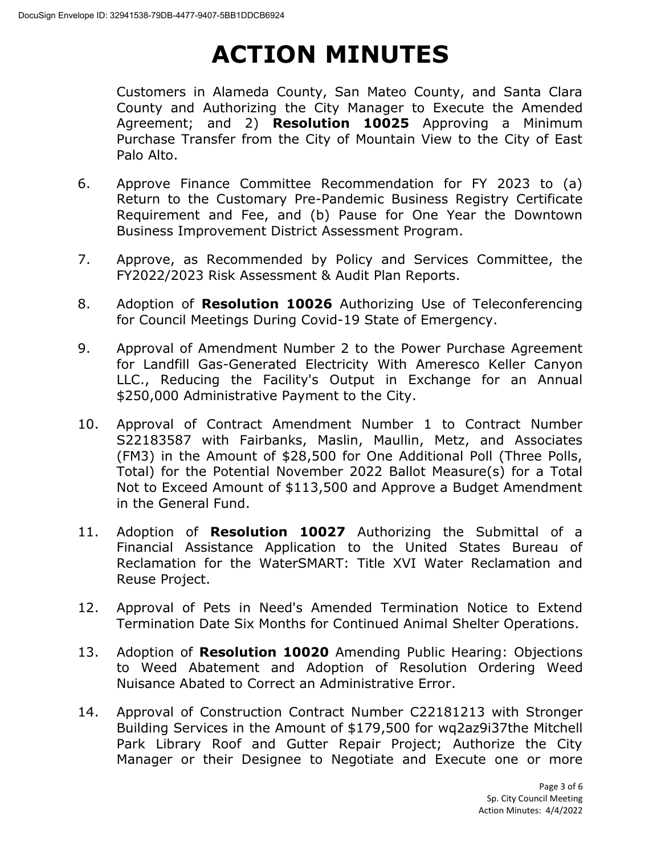Customers in Alameda County, San Mateo County, and Santa Clara County and Authorizing the City Manager to Execute the Amended Agreement; and 2) **Resolution 10025** Approving a Minimum Purchase Transfer from the City of Mountain View to the City of East Palo Alto.

- 6. Approve Finance Committee Recommendation for FY 2023 to (a) Return to the Customary Pre-Pandemic Business Registry Certificate Requirement and Fee, and (b) Pause for One Year the Downtown Business Improvement District Assessment Program.
- 7. Approve, as Recommended by Policy and Services Committee, the FY2022/2023 Risk Assessment & Audit Plan Reports.
- 8. Adoption of **Resolution 10026** Authorizing Use of Teleconferencing for Council Meetings During Covid-19 State of Emergency.
- 9. Approval of Amendment Number 2 to the Power Purchase Agreement for Landfill Gas-Generated Electricity With Ameresco Keller Canyon LLC., Reducing the Facility's Output in Exchange for an Annual \$250,000 Administrative Payment to the City.
- 10. Approval of Contract Amendment Number 1 to Contract Number S22183587 with Fairbanks, Maslin, Maullin, Metz, and Associates (FM3) in the Amount of \$28,500 for One Additional Poll (Three Polls, Total) for the Potential November 2022 Ballot Measure(s) for a Total Not to Exceed Amount of \$113,500 and Approve a Budget Amendment in the General Fund.
- 11. Adoption of **Resolution 10027** Authorizing the Submittal of a Financial Assistance Application to the United States Bureau of Reclamation for the WaterSMART: Title XVI Water Reclamation and Reuse Project.
- 12. Approval of Pets in Need's Amended Termination Notice to Extend Termination Date Six Months for Continued Animal Shelter Operations.
- 13. Adoption of **Resolution 10020** Amending Public Hearing: Objections to Weed Abatement and Adoption of Resolution Ordering Weed Nuisance Abated to Correct an Administrative Error.
- 14. Approval of Construction Contract Number C22181213 with Stronger Building Services in the Amount of \$179,500 for wq2az9i37the Mitchell Park Library Roof and Gutter Repair Project; Authorize the City Manager or their Designee to Negotiate and Execute one or more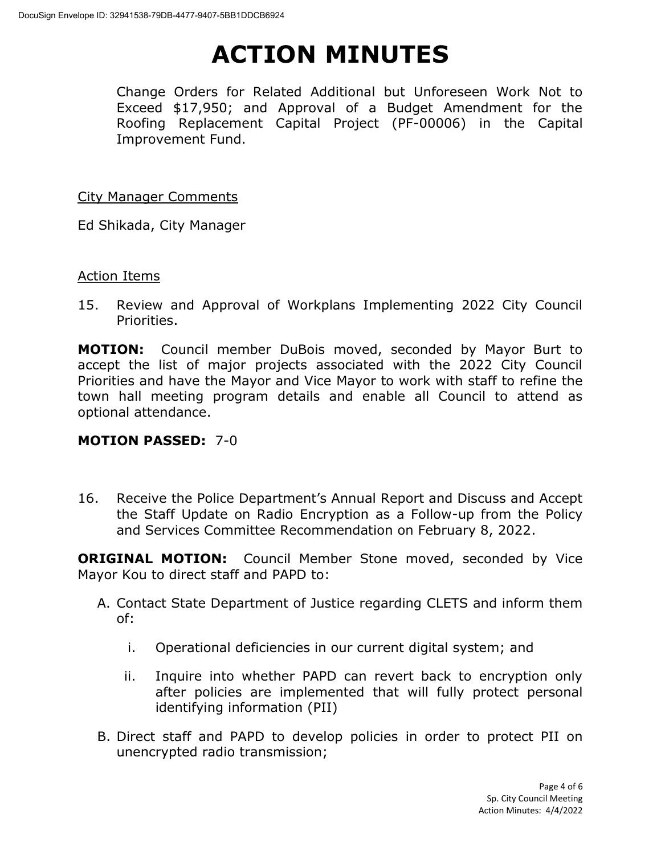Change Orders for Related Additional but Unforeseen Work Not to Exceed \$17,950; and Approval of a Budget Amendment for the Roofing Replacement Capital Project (PF-00006) in the Capital Improvement Fund.

City Manager Comments

Ed Shikada, City Manager

#### Action Items

15. Review and Approval of Workplans Implementing 2022 City Council Priorities.

**MOTION:** Council member DuBois moved, seconded by Mayor Burt to accept the list of major projects associated with the 2022 City Council Priorities and have the Mayor and Vice Mayor to work with staff to refine the town hall meeting program details and enable all Council to attend as optional attendance.

### **MOTION PASSED:** 7-0

16. Receive the Police Department's Annual Report and Discuss and Accept the Staff Update on Radio Encryption as a Follow-up from the Policy and Services Committee Recommendation on February 8, 2022.

**ORIGINAL MOTION:** Council Member Stone moved, seconded by Vice Mayor Kou to direct staff and PAPD to:

- A. Contact State Department of Justice regarding CLETS and inform them of:
	- i. Operational deficiencies in our current digital system; and
	- ii. Inquire into whether PAPD can revert back to encryption only after policies are implemented that will fully protect personal identifying information (PII)
- B. Direct staff and PAPD to develop policies in order to protect PII on unencrypted radio transmission;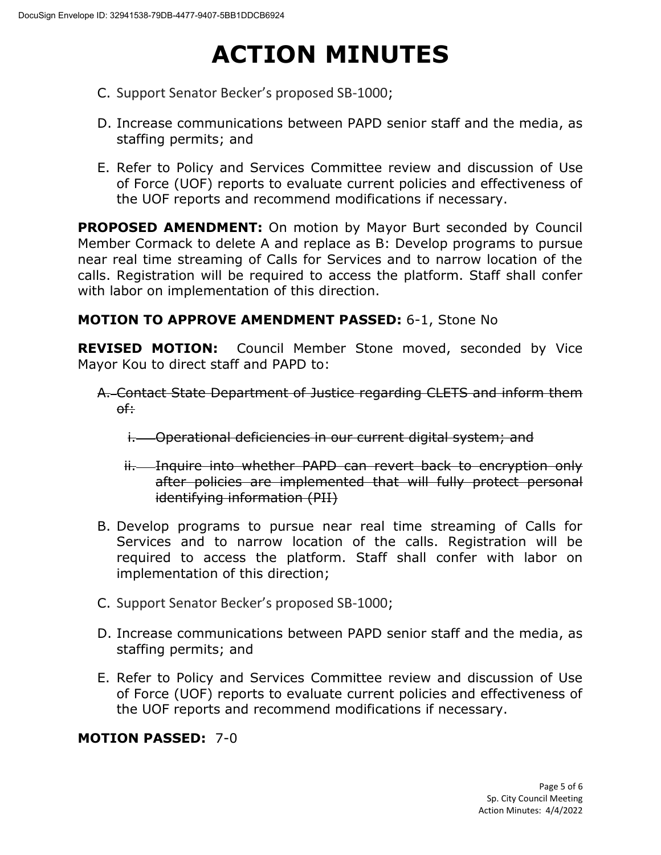- C. Support Senator Becker's proposed SB-1000;
- D. Increase communications between PAPD senior staff and the media, as staffing permits; and
- E. Refer to Policy and Services Committee review and discussion of Use of Force (UOF) reports to evaluate current policies and effectiveness of the UOF reports and recommend modifications if necessary.

**PROPOSED AMENDMENT:** On motion by Mayor Burt seconded by Council Member Cormack to delete A and replace as B: Develop programs to pursue near real time streaming of Calls for Services and to narrow location of the calls. Registration will be required to access the platform. Staff shall confer with labor on implementation of this direction.

## **MOTION TO APPROVE AMENDMENT PASSED:** 6-1, Stone No

**REVISED MOTION:** Council Member Stone moved, seconded by Vice Mayor Kou to direct staff and PAPD to:

- A. Contact State Department of Justice regarding CLETS and inform them of:
	- i. Operational deficiencies in our current digital system; and
	- ii. Inquire into whether PAPD can revert back to encryption only after policies are implemented that will fully protect personal identifying information (PII)
- B. Develop programs to pursue near real time streaming of Calls for Services and to narrow location of the calls. Registration will be required to access the platform. Staff shall confer with labor on implementation of this direction;
- C. Support Senator Becker's proposed SB-1000;
- D. Increase communications between PAPD senior staff and the media, as staffing permits; and
- E. Refer to Policy and Services Committee review and discussion of Use of Force (UOF) reports to evaluate current policies and effectiveness of the UOF reports and recommend modifications if necessary.

### **MOTION PASSED:** 7-0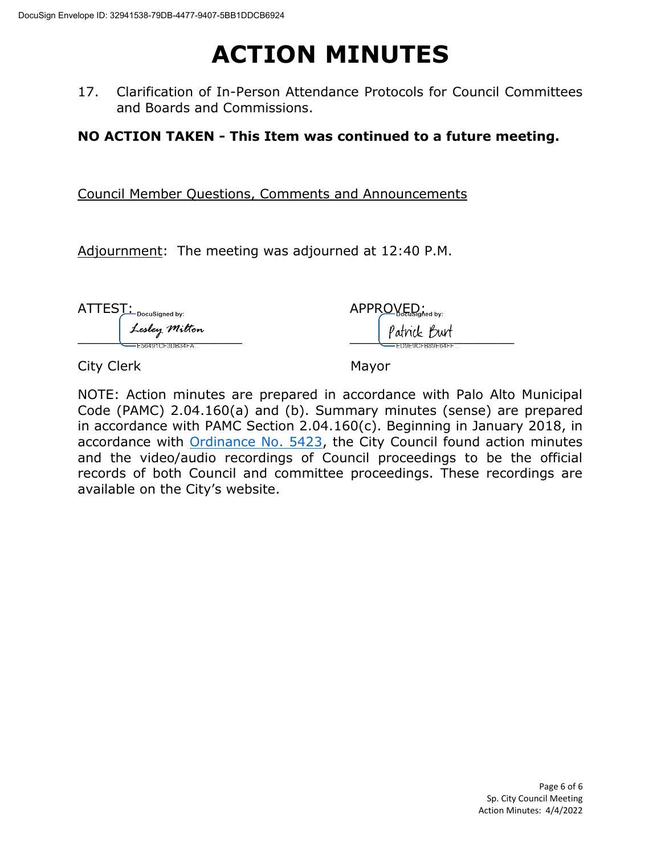17. Clarification of In-Person Attendance Protocols for Council Committees and Boards and Commissions.

**NO ACTION TAKEN - This Item was continued to a future meeting.** 

Council Member Questions, Comments and Announcements

Adjournment: The meeting was adjourned at 12:40 P.M.

ATTEST: Docusianed by: APPROVED:

 $\frac{1}{2}$  recent  $\frac{1}{2}$  recent  $\frac{1}{2}$  recent  $\frac{1}{2}$  recent  $\frac{1}{2}$  recent  $\frac{1}{2}$  recent  $\frac{1}{2}$  recent  $\frac{1}{2}$  recent  $\frac{1}{2}$  recent  $\frac{1}{2}$  recent  $\frac{1}{2}$  recent  $\frac{1}{2}$  recent  $\frac{1}{2}$  recent

City Clerk Mayor

NOTE: Action minutes are prepared in accordance with Palo Alto Municipal Code (PAMC) 2.04.160(a) and (b). Summary minutes (sense) are prepared in accordance with PAMC Section 2.04.160(c). Beginning in January 2018, in accordance with [Ordinance No. 5423,](https://www.cityofpaloalto.org/files/assets/public/city-clerk/ordinances/ordinances-1909-to-present/ordinances-by-number/ord-5423.pdf) the City Council found action minutes and the video/audio recordings of Council proceedings to be the official records of both Council and committee proceedings. These recordings are available on the City's website.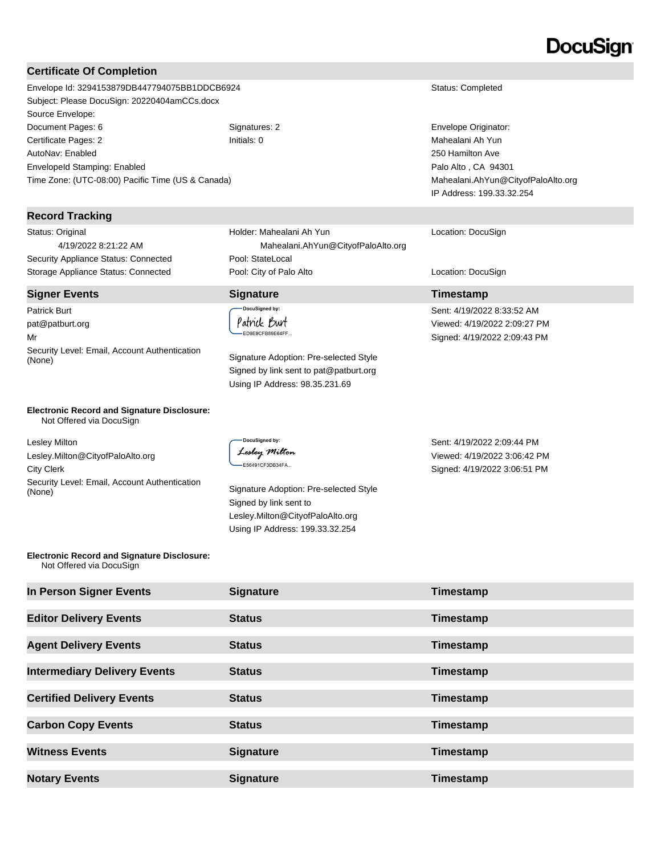## DocuSian

#### **Certificate Of Completion**

Envelope Id: 3294153879DB447794075BB1DDCB6924 Status: Completed Subject: Please DocuSign: 20220404amCCs.docx Source Envelope: Document Pages: 6 Signatures: 2 Signatures: 2 Envelope Originator: Certificate Pages: 2 Initials: 0 Mahealani Ah Yun AutoNav: Enabled EnvelopeId Stamping: Enabled Time Zone: (UTC-08:00) Pacific Time (US & Canada)

#### **Record Tracking**

Status: Original 4/19/2022 8:21:22 AM Security Appliance Status: Connected Pool: StateLocal

#### **Signer Events Signature Timestamp**

Patrick Burt pat@patburt.org Mr Security Level: Email, Account Authentication (None) Signature Adoption: Pre-selected Style

Holder: Mahealani Ah Yun Mahealani.AhYun@CityofPaloAlto.org Storage Appliance Status: Connected **Pool: City of Palo Alto** Location: DocuSign Location: DocuSign

.<br>DocuSigned by: Patrick Burt ED9E9CFB89E64FF...

> Signed by link sent to pat@patburt.org Using IP Address: 98.35.231.69

250 Hamilton Ave Palo Alto , CA 94301 Mahealani.AhYun@CityofPaloAlto.org IP Address: 199.33.32.254

#### Location: DocuSign

Sent: 4/19/2022 8:33:52 AM Viewed: 4/19/2022 2:09:27 PM Signed: 4/19/2022 2:09:43 PM

**Electronic Record and Signature Disclosure:**  Not Offered via DocuSign

Lesley Milton Lesley.Milton@CityofPaloAlto.org City Clerk Security Level: Email, Account Authentication Signature Adoption: Pre-selected Style (None)

**DocuSianed by:** Lesley Milton E56491CF3DB34FA...

Signed by link sent to Lesley.Milton@CityofPaloAlto.org Using IP Address: 199.33.32.254

Sent: 4/19/2022 2:09:44 PM Viewed: 4/19/2022 3:06:42 PM Signed: 4/19/2022 3:06:51 PM

#### **Electronic Record and Signature Disclosure:**  Not Offered via DocuSign

| In Person Signer Events             | <b>Signature</b> | Timestamp |
|-------------------------------------|------------------|-----------|
| <b>Editor Delivery Events</b>       | <b>Status</b>    | Timestamp |
| <b>Agent Delivery Events</b>        | <b>Status</b>    | Timestamp |
| <b>Intermediary Delivery Events</b> | <b>Status</b>    | Timestamp |
| <b>Certified Delivery Events</b>    | <b>Status</b>    | Timestamp |
| <b>Carbon Copy Events</b>           | <b>Status</b>    | Timestamp |
| <b>Witness Events</b>               | <b>Signature</b> | Timestamp |
| <b>Notary Events</b>                | <b>Signature</b> | Timestamp |